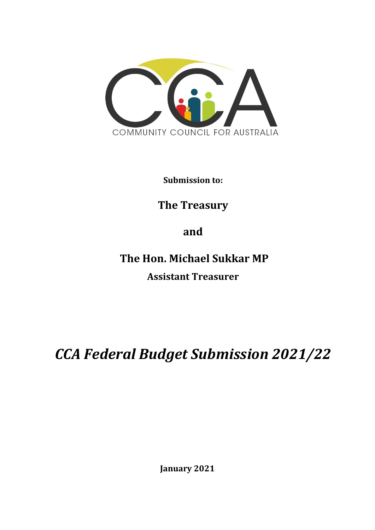

**Submission to:**

# **The Treasury**

**and**

**The Hon. Michael Sukkar MP Assistant Treasurer**

*CCA Federal Budget Submission 2021/22*

**January 2021**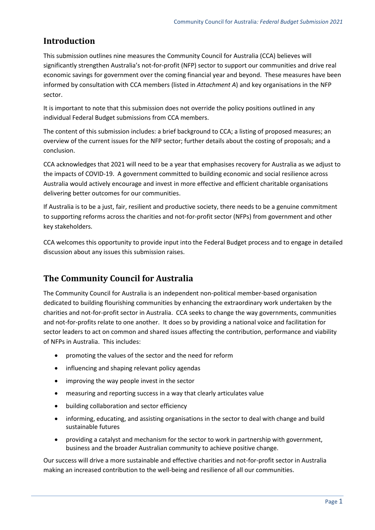## **Introduction**

This submission outlines nine measures the Community Council for Australia (CCA) believes will significantly strengthen Australia's not-for-profit (NFP) sector to support our communities and drive real economic savings for government over the coming financial year and beyond. These measures have been informed by consultation with CCA members (listed in *Attachment A*) and key organisations in the NFP sector.

It is important to note that this submission does not override the policy positions outlined in any individual Federal Budget submissions from CCA members.

The content of this submission includes: a brief background to CCA; a listing of proposed measures; an overview of the current issues for the NFP sector; further details about the costing of proposals; and a conclusion.

CCA acknowledges that 2021 will need to be a year that emphasises recovery for Australia as we adjust to the impacts of COVID-19. A government committed to building economic and social resilience across Australia would actively encourage and invest in more effective and efficient charitable organisations delivering better outcomes for our communities.

If Australia is to be a just, fair, resilient and productive society, there needs to be a genuine commitment to supporting reforms across the charities and not-for-profit sector (NFPs) from government and other key stakeholders.

CCA welcomes this opportunity to provide input into the Federal Budget process and to engage in detailed discussion about any issues this submission raises.

## **The Community Council for Australia**

The Community Council for Australia is an independent non-political member-based organisation dedicated to building flourishing communities by enhancing the extraordinary work undertaken by the charities and not-for-profit sector in Australia. CCA seeks to change the way governments, communities and not-for-profits relate to one another. It does so by providing a national voice and facilitation for sector leaders to act on common and shared issues affecting the contribution, performance and viability of NFPs in Australia. This includes:

- promoting the values of the sector and the need for reform
- influencing and shaping relevant policy agendas
- improving the way people invest in the sector
- measuring and reporting success in a way that clearly articulates value
- building collaboration and sector efficiency
- informing, educating, and assisting organisations in the sector to deal with change and build sustainable futures
- providing a catalyst and mechanism for the sector to work in partnership with government, business and the broader Australian community to achieve positive change.

Our success will drive a more sustainable and effective charities and not-for-profit sector in Australia making an increased contribution to the well-being and resilience of all our communities.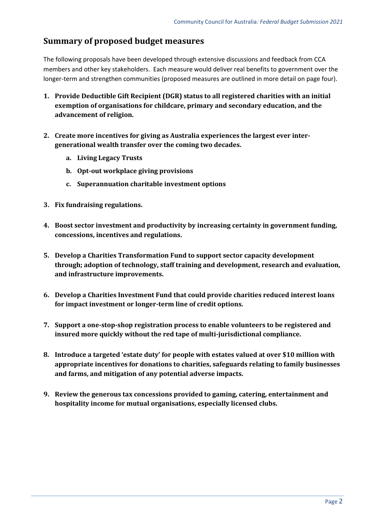## **Summary of proposed budget measures**

The following proposals have been developed through extensive discussions and feedback from CCA members and other key stakeholders. Each measure would deliver real benefits to government over the longer-term and strengthen communities (proposed measures are outlined in more detail on page four).

- **1. Provide Deductible Gift Recipient (DGR) status to all registered charities with an initial exemption of organisations for childcare, primary and secondary education, and the advancement of religion.**
- **2. Create more incentives for giving as Australia experiences the largest ever intergenerational wealth transfer over the coming two decades.** 
	- **a. Living Legacy Trusts**
	- **b. Opt-out workplace giving provisions**
	- **c. Superannuation charitable investment options**
- **3. Fix fundraising regulations.**
- **4. Boost sector investment and productivity by increasing certainty in government funding, concessions, incentives and regulations.**
- **5. Develop a Charities Transformation Fund to support sector capacity development through; adoption of technology, staff training and development, research and evaluation, and infrastructure improvements.**
- **6. Develop a Charities Investment Fund that could provide charities reduced interest loans for impact investment or longer-term line of credit options.**
- **7. Support a one-stop-shop registration process to enable volunteers to be registered and insured more quickly without the red tape of multi-jurisdictional compliance.**
- **8. Introduce a targeted 'estate duty' for people with estates valued at over \$10 million with appropriate incentives for donations to charities, safeguards relating to family businesses and farms, and mitigation of any potential adverse impacts.**
- **9. Review the generous tax concessions provided to gaming, catering, entertainment and hospitality income for mutual organisations, especially licensed clubs.**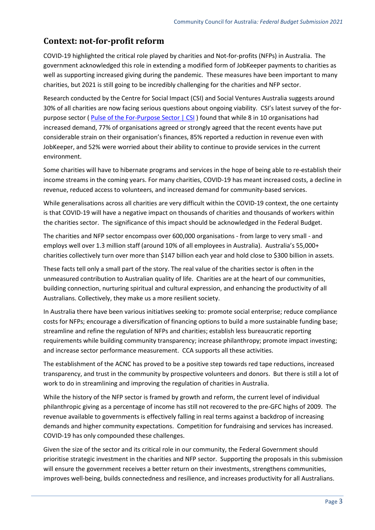## **Context: not-for-profit reform**

COVID-19 highlighted the critical role played by charities and Not-for-profits (NFPs) in Australia. The government acknowledged this role in extending a modified form of JobKeeper payments to charities as well as supporting increased giving during the pandemic. These measures have been important to many charities, but 2021 is still going to be incredibly challenging for the charities and NFP sector.

Research conducted by the Centre for Social Impact (CSI) and Social Ventures Australia suggests around 30% of all charities are now facing serious questions about ongoing viability. CSI's latest survey of the forpurpose sector ( [Pulse of the For-Purpose Sector | CSI](https://www.csi.edu.au/research/project/pulse-of-the-for-purpose-sector/) ) found that while 8 in 10 organisations had increased demand, 77% of organisations agreed or strongly agreed that the recent events have put considerable strain on their organisation's finances, 85% reported a reduction in revenue even with JobKeeper, and 52% were worried about their ability to continue to provide services in the current environment.

Some charities will have to hibernate programs and services in the hope of being able to re-establish their income streams in the coming years. For many charities, COVID-19 has meant increased costs, a decline in revenue, reduced access to volunteers, and increased demand for community-based services.

While generalisations across all charities are very difficult within the COVID-19 context, the one certainty is that COVID-19 will have a negative impact on thousands of charities and thousands of workers within the charities sector. The significance of this impact should be acknowledged in the Federal Budget.

The charities and NFP sector encompass over 600,000 organisations - from large to very small - and employs well over 1.3 million staff (around 10% of all employees in Australia). Australia's 55,000+ charities collectively turn over more than \$147 billion each year and hold close to \$300 billion in assets.

These facts tell only a small part of the story. The real value of the charities sector is often in the unmeasured contribution to Australian quality of life. Charities are at the heart of our communities, building connection, nurturing spiritual and cultural expression, and enhancing the productivity of all Australians. Collectively, they make us a more resilient society.

In Australia there have been various initiatives seeking to: promote social enterprise; reduce compliance costs for NFPs; encourage a diversification of financing options to build a more sustainable funding base; streamline and refine the regulation of NFPs and charities; establish less bureaucratic reporting requirements while building community transparency; increase philanthropy; promote impact investing; and increase sector performance measurement. CCA supports all these activities.

The establishment of the ACNC has proved to be a positive step towards red tape reductions, increased transparency, and trust in the community by prospective volunteers and donors. But there is still a lot of work to do in streamlining and improving the regulation of charities in Australia.

While the history of the NFP sector is framed by growth and reform, the current level of individual philanthropic giving as a percentage of income has still not recovered to the pre-GFC highs of 2009. The revenue available to governments is effectively falling in real terms against a backdrop of increasing demands and higher community expectations. Competition for fundraising and services has increased. COVID-19 has only compounded these challenges.

Given the size of the sector and its critical role in our community, the Federal Government should prioritise strategic investment in the charities and NFP sector. Supporting the proposals in this submission will ensure the government receives a better return on their investments, strengthens communities, improves well-being, builds connectedness and resilience, and increases productivity for all Australians.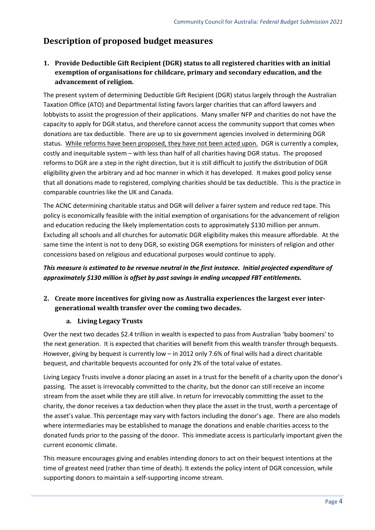## **Description of proposed budget measures**

## **1. Provide Deductible Gift Recipient (DGR) status to all registered charities with an initial exemption of organisations for childcare, primary and secondary education, and the advancement of religion.**

The present system of determining Deductible Gift Recipient (DGR) status largely through the Australian Taxation Office (ATO) and Departmental listing favors larger charities that can afford lawyers and lobbyists to assist the progression of their applications. Many smaller NFP and charities do not have the capacity to apply for DGR status, and therefore cannot access the community support that comes when donations are tax deductible. There are up to six government agencies involved in determining DGR status. While reforms have been proposed, they have not been acted upon. DGR is currently a complex, costly and inequitable system – with less than half of all charities having DGR status. The proposed reforms to DGR are a step in the right direction, but it is still difficult to justify the distribution of DGR eligibility given the arbitrary and ad hoc manner in which it has developed. It makes good policy sense that all donations made to registered, complying charities should be tax deductible. This is the practice in comparable countries like the UK and Canada.

The ACNC determining charitable status and DGR will deliver a fairer system and reduce red tape. This policy is economically feasible with the initial exemption of organisations for the advancement of religion and education reducing the likely implementation costs to approximately \$130 million per annum. Excluding all schools and all churches for automatic DGR eligibility makes this measure affordable. At the same time the intent is not to deny DGR, so existing DGR exemptions for ministers of religion and other concessions based on religious and educational purposes would continue to apply.

## *This measure is estimated to be revenue neutral in the first instance. Initial projected expenditure of approximately \$130 million is offset by past savings in ending uncapped FBT entitlements.*

### **2. Create more incentives for giving now as Australia experiences the largest ever intergenerational wealth transfer over the coming two decades.**

### **a. Living Legacy Trusts**

Over the next two decades \$2.4 trillion in wealth is expected to pass from Australian 'baby boomers' to the next generation. It is expected that charities will benefit from this wealth transfer through bequests. However, giving by bequest is currently low – in 2012 only 7.6% of final wills had a direct charitable bequest, and charitable bequests accounted for only 2% of the total value of estates.

Living Legacy Trusts involve a donor placing an asset in a trust for the benefit of a charity upon the donor's passing. The asset is irrevocably committed to the charity, but the donor can still receive an income stream from the asset while they are still alive. In return for irrevocably committing the asset to the charity, the donor receives a tax deduction when they place the asset in the trust, worth a percentage of the asset's value. This percentage may vary with factors including the donor's age. There are also models where intermediaries may be established to manage the donations and enable charities access to the donated funds prior to the passing of the donor. This immediate access is particularly important given the current economic climate.

This measure encourages giving and enables intending donors to act on their bequest intentions at the time of greatest need (rather than time of death). It extends the policy intent of DGR concession, while supporting donors to maintain a self-supporting income stream.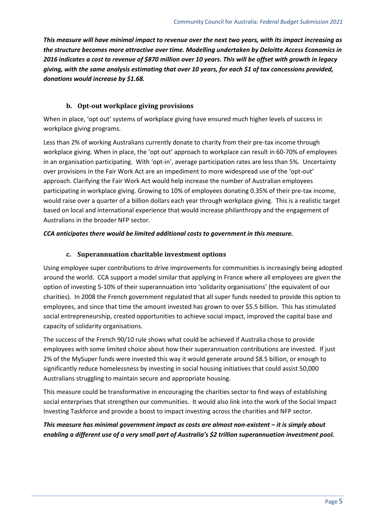*This measure will have minimal impact to revenue over the next two years, with its impact increasing as the structure becomes more attractive over time. Modelling undertaken by Deloitte Access Economics in 2016 indicates a cost to revenue of \$870 million over 10 years. This will be offset with growth in legacy giving, with the same analysis estimating that over 10 years, for each \$1 of tax concessions provided, donations would increase by \$1.68.*

#### **b. Opt-out workplace giving provisions**

When in place, 'opt out' systems of workplace giving have ensured much higher levels of success in workplace giving programs.

Less than 2% of working Australians currently donate to charity from their pre-tax income through workplace giving. When in place, the 'opt out' approach to workplace can result in 60-70% of employees in an organisation participating. With 'opt-in', average participation rates are less than 5%. Uncertainty over provisions in the Fair Work Act are an impediment to more widespread use of the 'opt-out' approach. Clarifying the Fair Work Act would help increase the number of Australian employees participating in workplace giving. Growing to 10% of employees donating 0.35% of their pre-tax income, would raise over a quarter of a billion dollars each year through workplace giving. This is a realistic target based on local and international experience that would increase philanthropy and the engagement of Australians in the broader NFP sector.

#### *CCA anticipates there would be limited additional costs to government in this measure.*

#### **c. Superannuation charitable investment options**

Using employee super contributions to drive improvements for communities is increasingly being adopted around the world. CCA support a model similar that applying in France where all employees are given the option of investing 5-10% of their superannuation into 'solidarity organisations' (the equivalent of our charities). In 2008 the French government regulated that all super funds needed to provide this option to employees, and since that time the amount invested has grown to over \$5.5 billion. This has stimulated social entrepreneurship, created opportunities to achieve social impact, improved the capital base and capacity of solidarity organisations.

The success of the French 90/10 rule shows what could be achieved if Australia chose to provide employees with some limited choice about how their superannuation contributions are invested. If just 2% of the MySuper funds were invested this way it would generate around \$8.5 billion, or enough to significantly reduce homelessness by investing in social housing initiatives that could assist 50,000 Australians struggling to maintain secure and appropriate housing.

This measure could be transformative in encouraging the charities sector to find ways of establishing social enterprises that strengthen our communities. It would also link into the work of the Social Impact Investing Taskforce and provide a boost to impact investing across the charities and NFP sector.

*This measure has minimal government impact as costs are almost non-existent – it is simply about enabling a different use of a very small part of Australia's \$2 trillion superannuation investment pool.*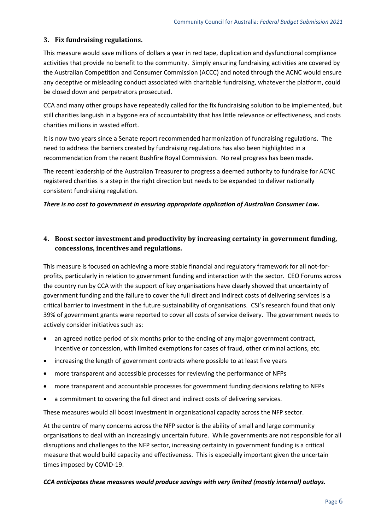### **3. Fix fundraising regulations.**

This measure would save millions of dollars a year in red tape, duplication and dysfunctional compliance activities that provide no benefit to the community. Simply ensuring fundraising activities are covered by the Australian Competition and Consumer Commission (ACCC) and noted through the ACNC would ensure any deceptive or misleading conduct associated with charitable fundraising, whatever the platform, could be closed down and perpetrators prosecuted.

CCA and many other groups have repeatedly called for the fix fundraising solution to be implemented, but still charities languish in a bygone era of accountability that has little relevance or effectiveness, and costs charities millions in wasted effort.

It is now two years since a Senate report recommended harmonization of fundraising regulations. The need to address the barriers created by fundraising regulations has also been highlighted in a recommendation from the recent Bushfire Royal Commission. No real progress has been made.

The recent leadership of the Australian Treasurer to progress a deemed authority to fundraise for ACNC registered charities is a step in the right direction but needs to be expanded to deliver nationally consistent fundraising regulation.

#### *There is no cost to government in ensuring appropriate application of Australian Consumer Law.*

### **4. Boost sector investment and productivity by increasing certainty in government funding, concessions, incentives and regulations.**

This measure is focused on achieving a more stable financial and regulatory framework for all not-forprofits, particularly in relation to government funding and interaction with the sector. CEO Forums across the country run by CCA with the support of key organisations have clearly showed that uncertainty of government funding and the failure to cover the full direct and indirect costs of delivering services is a critical barrier to investment in the future sustainability of organisations. CSI's research found that only 39% of government grants were reported to cover all costs of service delivery. The government needs to actively consider initiatives such as:

- an agreed notice period of six months prior to the ending of any major government contract, incentive or concession, with limited exemptions for cases of fraud, other criminal actions, etc.
- increasing the length of government contracts where possible to at least five years
- more transparent and accessible processes for reviewing the performance of NFPs
- more transparent and accountable processes for government funding decisions relating to NFPs
- a commitment to covering the full direct and indirect costs of delivering services.

These measures would all boost investment in organisational capacity across the NFP sector.

At the centre of many concerns across the NFP sector is the ability of small and large community organisations to deal with an increasingly uncertain future. While governments are not responsible for all disruptions and challenges to the NFP sector, increasing certainty in government funding is a critical measure that would build capacity and effectiveness. This is especially important given the uncertain times imposed by COVID-19.

#### *CCA anticipates these measures would produce savings with very limited (mostly internal) outlays.*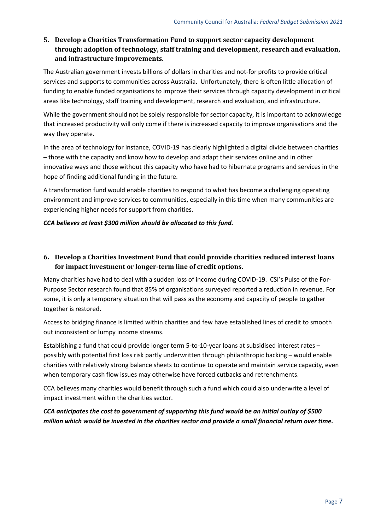## **5. Develop a Charities Transformation Fund to support sector capacity development through; adoption of technology, staff training and development, research and evaluation, and infrastructure improvements.**

The Australian government invests billions of dollars in charities and not-for profits to provide critical services and supports to communities across Australia. Unfortunately, there is often little allocation of funding to enable funded organisations to improve their services through capacity development in critical areas like technology, staff training and development, research and evaluation, and infrastructure.

While the government should not be solely responsible for sector capacity, it is important to acknowledge that increased productivity will only come if there is increased capacity to improve organisations and the way they operate.

In the area of technology for instance, COVID-19 has clearly highlighted a digital divide between charities – those with the capacity and know how to develop and adapt their services online and in other innovative ways and those without this capacity who have had to hibernate programs and services in the hope of finding additional funding in the future.

A transformation fund would enable charities to respond to what has become a challenging operating environment and improve services to communities, especially in this time when many communities are experiencing higher needs for support from charities.

#### *CCA believes at least \$300 million should be allocated to this fund.*

## **6. Develop a Charities Investment Fund that could provide charities reduced interest loans for impact investment or longer-term line of credit options.**

Many charities have had to deal with a sudden loss of income during COVID-19. CSI's Pulse of the For-Purpose Sector research found that 85% of organisations surveyed reported a reduction in revenue. For some, it is only a temporary situation that will pass as the economy and capacity of people to gather together is restored.

Access to bridging finance is limited within charities and few have established lines of credit to smooth out inconsistent or lumpy income streams.

Establishing a fund that could provide longer term 5-to-10-year loans at subsidised interest rates – possibly with potential first loss risk partly underwritten through philanthropic backing – would enable charities with relatively strong balance sheets to continue to operate and maintain service capacity, even when temporary cash flow issues may otherwise have forced cutbacks and retrenchments.

CCA believes many charities would benefit through such a fund which could also underwrite a level of impact investment within the charities sector.

*CCA anticipates the cost to government of supporting this fund would be an initial outlay of \$500 million which would be invested in the charities sector and provide a small financial return over time.*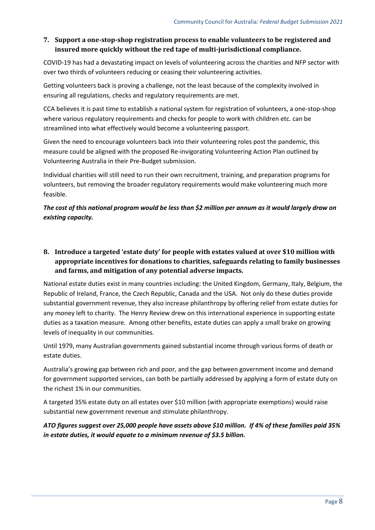### **7. Support a one-stop-shop registration process to enable volunteers to be registered and insured more quickly without the red tape of multi-jurisdictional compliance.**

COVID-19 has had a devastating impact on levels of volunteering across the charities and NFP sector with over two thirds of volunteers reducing or ceasing their volunteering activities.

Getting volunteers back is proving a challenge, not the least because of the complexity involved in ensuring all regulations, checks and regulatory requirements are met.

CCA believes it is past time to establish a national system for registration of volunteers, a one-stop-shop where various regulatory requirements and checks for people to work with children etc. can be streamlined into what effectively would become a volunteering passport.

Given the need to encourage volunteers back into their volunteering roles post the pandemic, this measure could be aligned with the proposed Re-invigorating Volunteering Action Plan outlined by Volunteering Australia in their Pre-Budget submission.

Individual charities will still need to run their own recruitment, training, and preparation programs for volunteers, but removing the broader regulatory requirements would make volunteering much more feasible.

## *The cost of this national program would be less than \$2 million per annum as it would largely draw on existing capacity.*

**8. Introduce a targeted 'estate duty' for people with estates valued at over \$10 million with appropriate incentives for donations to charities, safeguards relating to family businesses and farms, and mitigation of any potential adverse impacts.**

National estate duties exist in many countries including: the United Kingdom, Germany, Italy, Belgium, the Republic of Ireland, France, the Czech Republic, Canada and the USA. Not only do these duties provide substantial government revenue, they also increase philanthropy by offering relief from estate duties for any money left to charity. The Henry Review drew on this international experience in supporting estate duties as a taxation measure. Among other benefits, estate duties can apply a small brake on growing levels of inequality in our communities.

Until 1979, many Australian governments gained substantial income through various forms of death or estate duties.

Australia's growing gap between rich and poor, and the gap between government income and demand for government supported services, can both be partially addressed by applying a form of estate duty on the richest 1% in our communities.

A targeted 35% estate duty on all estates over \$10 million (with appropriate exemptions) would raise substantial new government revenue and stimulate philanthropy.

*ATO figures suggest over 25,000 people have assets above \$10 million. If 4% of these families paid 35% in estate duties, it would equate to a minimum revenue of \$3.5 billion.*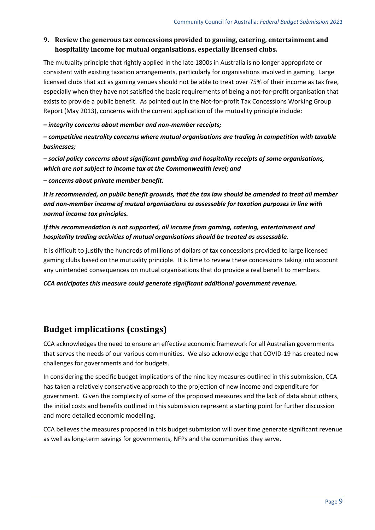### **9. Review the generous tax concessions provided to gaming, catering, entertainment and hospitality income for mutual organisations, especially licensed clubs.**

The mutuality principle that rightly applied in the late 1800s in Australia is no longer appropriate or consistent with existing taxation arrangements, particularly for organisations involved in gaming. Large licensed clubs that act as gaming venues should not be able to treat over 75% of their income as tax free, especially when they have not satisfied the basic requirements of being a not-for-profit organisation that exists to provide a public benefit. As pointed out in the Not-for-profit Tax Concessions Working Group Report (May 2013), concerns with the current application of the mutuality principle include:

*– integrity concerns about member and non-member receipts;* 

*– competitive neutrality concerns where mutual organisations are trading in competition with taxable businesses;* 

*– social policy concerns about significant gambling and hospitality receipts of some organisations, which are not subject to income tax at the Commonwealth level; and* 

*– concerns about private member benefit.* 

*It is recommended, on public benefit grounds, that the tax law should be amended to treat all member and non-member income of mutual organisations as assessable for taxation purposes in line with normal income tax principles.* 

### *If this recommendation is not supported, all income from gaming, catering, entertainment and hospitality trading activities of mutual organisations should be treated as assessable.*

It is difficult to justify the hundreds of millions of dollars of tax concessions provided to large licensed gaming clubs based on the mutuality principle. It is time to review these concessions taking into account any unintended consequences on mutual organisations that do provide a real benefit to members.

*CCA anticipates this measure could generate significant additional government revenue.*

## **Budget implications (costings)**

CCA acknowledges the need to ensure an effective economic framework for all Australian governments that serves the needs of our various communities. We also acknowledge that COVID-19 has created new challenges for governments and for budgets.

In considering the specific budget implications of the nine key measures outlined in this submission, CCA has taken a relatively conservative approach to the projection of new income and expenditure for government. Given the complexity of some of the proposed measures and the lack of data about others, the initial costs and benefits outlined in this submission represent a starting point for further discussion and more detailed economic modelling.

CCA believes the measures proposed in this budget submission will over time generate significant revenue as well as long-term savings for governments, NFPs and the communities they serve.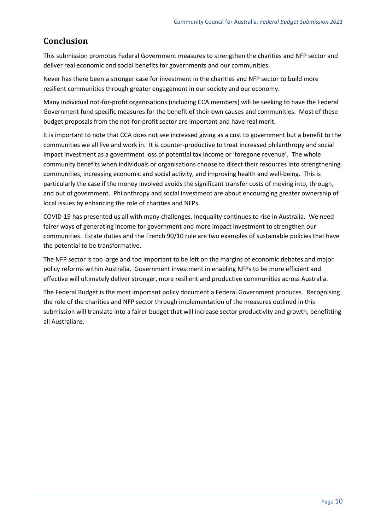## **Conclusion**

This submission promotes Federal Government measures to strengthen the charities and NFP sector and deliver real economic and social benefits for governments and our communities.

Never has there been a stronger case for investment in the charities and NFP sector to build more resilient communities through greater engagement in our society and our economy.

Many individual not-for-profit organisations (including CCA members) will be seeking to have the Federal Government fund specific measures for the benefit of their own causes and communities. Most of these budget proposals from the not-for-profit sector are important and have real merit.

It is important to note that CCA does not see increased giving as a cost to government but a benefit to the communities we all live and work in. It is counter-productive to treat increased philanthropy and social impact investment as a government loss of potential tax income or 'foregone revenue'. The whole community benefits when individuals or organisations choose to direct their resources into strengthening communities, increasing economic and social activity, and improving health and well-being. This is particularly the case if the money involved avoids the significant transfer costs of moving into, through, and out of government. Philanthropy and social investment are about encouraging greater ownership of local issues by enhancing the role of charities and NFPs.

COVID-19 has presented us all with many challenges. Inequality continues to rise in Australia. We need fairer ways of generating income for government and more impact investment to strengthen our communities. Estate duties and the French 90/10 rule are two examples of sustainable policies that have the potential to be transformative.

The NFP sector is too large and too important to be left on the margins of economic debates and major policy reforms within Australia. Government investment in enabling NFPs to be more efficient and effective will ultimately deliver stronger, more resilient and productive communities across Australia.

The Federal Budget is the most important policy document a Federal Government produces. Recognising the role of the charities and NFP sector through implementation of the measures outlined in this submission will translate into a fairer budget that will increase sector productivity and growth, benefitting all Australians.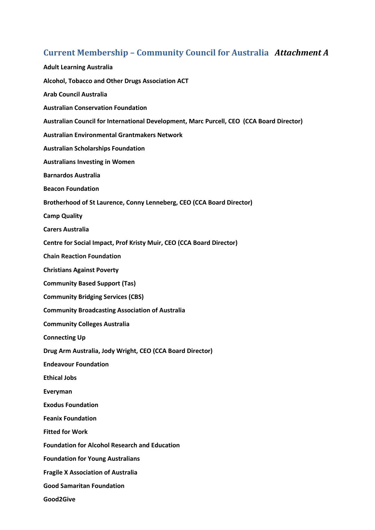# **Current Membership – Community Council for Australia** *Attachment A*

| <b>Adult Learning Australia</b>                                                          |
|------------------------------------------------------------------------------------------|
| Alcohol, Tobacco and Other Drugs Association ACT                                         |
| <b>Arab Council Australia</b>                                                            |
| <b>Australian Conservation Foundation</b>                                                |
| Australian Council for International Development, Marc Purcell, CEO (CCA Board Director) |
| <b>Australian Environmental Grantmakers Network</b>                                      |
| <b>Australian Scholarships Foundation</b>                                                |
| <b>Australians Investing in Women</b>                                                    |
| <b>Barnardos Australia</b>                                                               |
| <b>Beacon Foundation</b>                                                                 |
| Brotherhood of St Laurence, Conny Lenneberg, CEO (CCA Board Director)                    |
| <b>Camp Quality</b>                                                                      |
| <b>Carers Australia</b>                                                                  |
| Centre for Social Impact, Prof Kristy Muir, CEO (CCA Board Director)                     |
| <b>Chain Reaction Foundation</b>                                                         |
| <b>Christians Against Poverty</b>                                                        |
| <b>Community Based Support (Tas)</b>                                                     |
| <b>Community Bridging Services (CBS)</b>                                                 |
| <b>Community Broadcasting Association of Australia</b>                                   |
| <b>Community Colleges Australia</b>                                                      |
| <b>Connecting Up</b>                                                                     |
| Drug Arm Australia, Jody Wright, CEO (CCA Board Director)                                |
| <b>Endeavour Foundation</b>                                                              |
| <b>Ethical Jobs</b>                                                                      |
| Everyman                                                                                 |
| <b>Exodus Foundation</b>                                                                 |
| <b>Feanix Foundation</b>                                                                 |
| <b>Fitted for Work</b>                                                                   |
| <b>Foundation for Alcohol Research and Education</b>                                     |
| <b>Foundation for Young Australians</b>                                                  |
| <b>Fragile X Association of Australia</b>                                                |
| <b>Good Samaritan Foundation</b>                                                         |
| Good2Give                                                                                |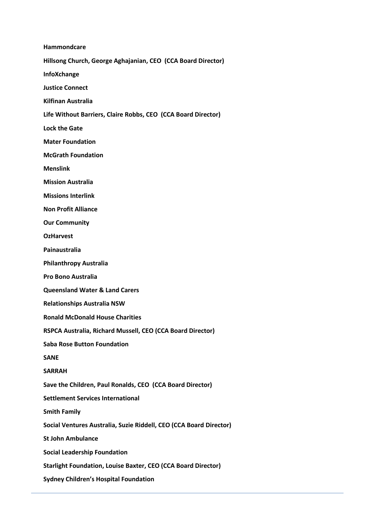**Hammondcare Hillsong Church, George Aghajanian, CEO (CCA Board Director) InfoXchange Justice Connect Kilfinan Australia Life Without Barriers, Claire Robbs, CEO (CCA Board Director) Lock the Gate Mater Foundation McGrath Foundation Menslink Mission Australia Missions Interlink Non Profit Alliance Our Community OzHarvest Painaustralia Philanthropy Australia Pro Bono Australia Queensland Water & Land Carers Relationships Australia NSW Ronald McDonald House Charities RSPCA Australia, Richard Mussell, CEO (CCA Board Director) Saba Rose Button Foundation SANE SARRAH Save the Children, Paul Ronalds, CEO (CCA Board Director) Settlement Services International Smith Family Social Ventures Australia, Suzie Riddell, CEO (CCA Board Director) St John Ambulance Social Leadership Foundation Starlight Foundation, Louise Baxter, CEO (CCA Board Director) Sydney Children's Hospital Foundation**